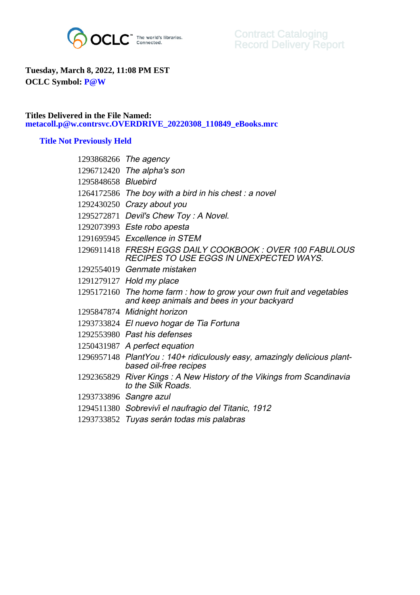

## **Tuesday, March 8, 2022, 11:08 PM EST OCLC Symbol: P@W**

## **Titles Delivered in the File Named: metacoll.p@w.contrsvc.OVERDRIVE\_20220308\_110849\_eBooks.mrc**

## **Title Not Previously Held**

| 1293868266 The agency                                                                                              |
|--------------------------------------------------------------------------------------------------------------------|
| 1296712420 The alpha's son                                                                                         |
| 1295848658 Bluebird                                                                                                |
| 1264172586 The boy with a bird in his chest: a novel                                                               |
| 1292430250 Crazy about you                                                                                         |
| 1295272871 Devil's Chew Toy: A Novel.                                                                              |
| 1292073993 Este robo apesta                                                                                        |
| 1291695945 Excellence in STEM                                                                                      |
| 1296911418 FRESH EGGS DAILY COOKBOOK : OVER 100 FABULOUS<br><b>RECIPES TO USE EGGS IN UNEXPECTED WAYS.</b>         |
| 1292554019 Genmate mistaken                                                                                        |
| 1291279127 Hold my place                                                                                           |
| 1295172160 The home farm : how to grow your own fruit and vegetables<br>and keep animals and bees in your backyard |
| 1295847874 Midnight horizon                                                                                        |
| 1293733824 El nuevo hogar de Tia Fortuna                                                                           |
| 1292553980 Past his defenses                                                                                       |
| 1250431987 A perfect equation                                                                                      |
| 1296957148 PlantYou: 140+ ridiculously easy, amazingly delicious plant-<br>based oil-free recipes                  |
| 1292365829 River Kings: A New History of the Vikings from Scandinavia<br>to the Silk Roads.                        |
| 1293733896 Sangre azul                                                                                             |
| 1294511380 Sobrevivi el naufragio del Titanic, 1912                                                                |
| 1293733852 Tuyas serán todas mis palabras                                                                          |
|                                                                                                                    |